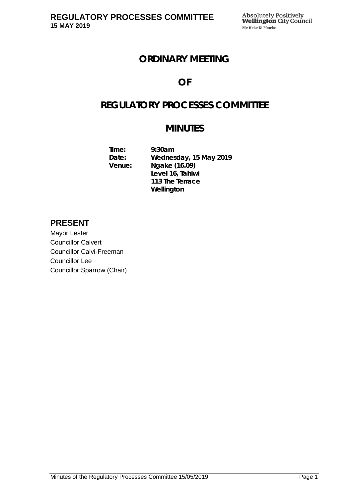## **ORDINARY MEETING**

## **OF**

# **REGULATORY PROCESSES COMMITTEE**

# **MINUTES**

**Time: 9:30am Date: Wednesday, 15 May 2019 Venue: Ngake (16.09) Level 16, Tahiwi 113 The Terrace Wellington**

### **PRESENT**

Mayor Lester Councillor Calvert Councillor Calvi-Freeman Councillor Lee Councillor Sparrow (Chair)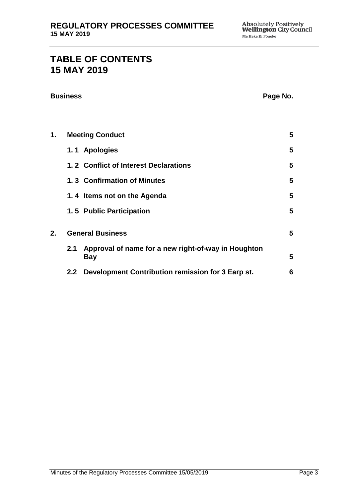# **TABLE OF CONTENTS 15 MAY 2019**

| <b>Business</b> |                         |                                                                   | Page No. |
|-----------------|-------------------------|-------------------------------------------------------------------|----------|
|                 |                         |                                                                   |          |
| 1.              |                         | <b>Meeting Conduct</b>                                            | 5        |
|                 |                         | 1.1 Apologies                                                     | 5        |
|                 |                         | 1.2 Conflict of Interest Declarations                             | 5        |
|                 |                         | 1.3 Confirmation of Minutes                                       | 5        |
|                 |                         | 1.4 Items not on the Agenda                                       | 5        |
|                 |                         | 1.5 Public Participation                                          | 5        |
| 2.              | <b>General Business</b> |                                                                   | 5        |
|                 | 2.1                     | Approval of name for a new right-of-way in Houghton<br><b>Bay</b> | 5        |
|                 | 2.2                     | Development Contribution remission for 3 Earp st.                 | 6        |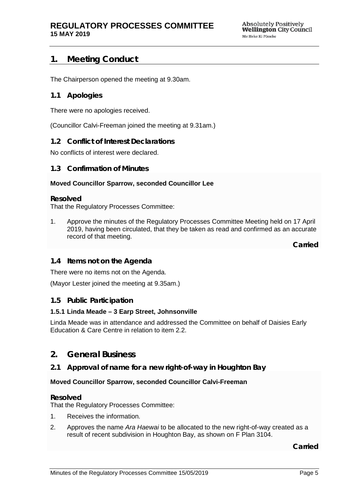### <span id="page-4-0"></span>**1. Meeting Conduct**

The Chairperson opened the meeting at 9.30am.

### <span id="page-4-1"></span>**1.1 Apologies**

There were no apologies received.

(Councillor Calvi-Freeman joined the meeting at 9.31am.)

#### <span id="page-4-2"></span>**1.2 Conflict of Interest Declarations**

No conflicts of interest were declared.

#### <span id="page-4-3"></span>**1.3 Confirmation of Minutes**

#### **Moved Councillor Sparrow, seconded Councillor Lee**

#### **Resolved**

That the Regulatory Processes Committee:

1. Approve the minutes of the Regulatory Processes Committee Meeting held on 17 April 2019, having been circulated, that they be taken as read and confirmed as an accurate record of that meeting.

**Carried**

#### <span id="page-4-4"></span>**1.4 Items not on the Agenda**

There were no items not on the Agenda.

(Mayor Lester joined the meeting at 9.35am.)

#### **1.5 Public Participation**

#### **1.5.1 Linda Meade – 3 Earp Street, Johnsonville**

Linda Meade was in attendance and addressed the Committee on behalf of Daisies Early Education & Care Centre in relation to item 2.2.

### <span id="page-4-5"></span>**2. General Business**

#### <span id="page-4-6"></span>**2.1 Approval of name for a new right-of-way in Houghton Bay**

#### **Moved Councillor Sparrow, seconded Councillor Calvi-Freeman**

#### **Resolved**

That the Regulatory Processes Committee:

- 1. Receives the information.
- 2. Approves the name *Ara Haewai* to be allocated to the new right-of-way created as a result of recent subdivision in Houghton Bay, as shown on F Plan 3104.

**Carried**